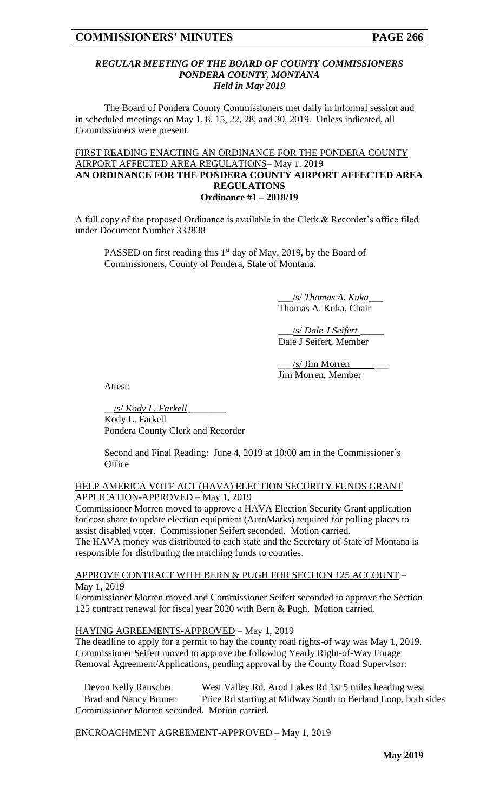### *REGULAR MEETING OF THE BOARD OF COUNTY COMMISSIONERS PONDERA COUNTY, MONTANA Held in May 2019*

The Board of Pondera County Commissioners met daily in informal session and in scheduled meetings on May 1, 8, 15, 22, 28, and 30, 2019. Unless indicated, all Commissioners were present.

### FIRST READING ENACTING AN ORDINANCE FOR THE PONDERA COUNTY AIRPORT AFFECTED AREA REGULATIONS– May 1, 2019 **AN ORDINANCE FOR THE PONDERA COUNTY AIRPORT AFFECTED AREA REGULATIONS Ordinance #1 – 2018/19**

A full copy of the proposed Ordinance is available in the Clerk & Recorder's office filed under Document Number 332838

PASSED on first reading this 1<sup>st</sup> day of May, 2019, by the Board of Commissioners, County of Pondera, State of Montana.

> \_\_\_/s/ *Thomas A. Kuka*\_\_\_ Thomas A. Kuka, Chair

\_\_\_/s/ *Dale J Seifert* \_\_\_\_\_ Dale J Seifert, Member

\_\_\_/s/ Jim Morren \_\_\_ Jim Morren, Member

Attest:

\_\_/s/ *Kody L. Farkell*\_\_\_\_\_\_\_\_

Kody L. Farkell Pondera County Clerk and Recorder

Second and Final Reading: June 4, 2019 at 10:00 am in the Commissioner's **Office** 

HELP AMERICA VOTE ACT (HAVA) ELECTION SECURITY FUNDS GRANT APPLICATION-APPROVED - May 1, 2019

Commissioner Morren moved to approve a HAVA Election Security Grant application for cost share to update election equipment (AutoMarks) required for polling places to assist disabled voter. Commissioner Seifert seconded. Motion carried. The HAVA money was distributed to each state and the Secretary of State of Montana is responsible for distributing the matching funds to counties.

APPROVE CONTRACT WITH BERN & PUGH FOR SECTION 125 ACCOUNT – May 1, 2019

Commissioner Morren moved and Commissioner Seifert seconded to approve the Section 125 contract renewal for fiscal year 2020 with Bern & Pugh. Motion carried.

## HAYING AGREEMENTS-APPROVED – May 1, 2019

The deadline to apply for a permit to hay the county road rights-of way was May 1, 2019. Commissioner Seifert moved to approve the following Yearly Right-of-Way Forage Removal Agreement/Applications, pending approval by the County Road Supervisor:

Devon Kelly Rauscher West Valley Rd, Arod Lakes Rd 1st 5 miles heading west Brad and Nancy Bruner Price Rd starting at Midway South to Berland Loop, both sides Commissioner Morren seconded. Motion carried.

## ENCROACHMENT AGREEMENT-APPROVED – May 1, 2019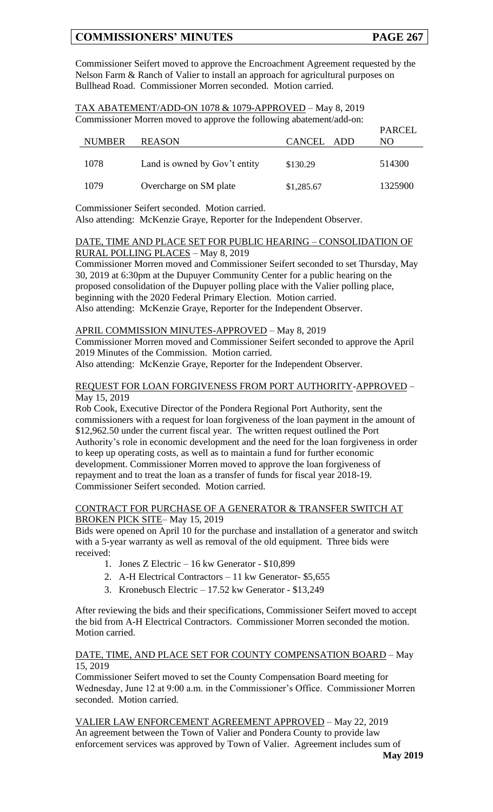Commissioner Seifert moved to approve the Encroachment Agreement requested by the Nelson Farm & Ranch of Valier to install an approach for agricultural purposes on Bullhead Road. Commissioner Morren seconded. Motion carried.

| TAX ABATEMENT/ADD-ON 1078 & 1079-APPROVED - May 8, 2019              |
|----------------------------------------------------------------------|
| Commissioner Morren moved to approve the following abatement/add-on: |

| <b>NUMBER</b> | <b>REASON</b>                 | CANCEL ADD | <b>PARCEL</b><br>NO. |
|---------------|-------------------------------|------------|----------------------|
| 1078          | Land is owned by Gov't entity | \$130.29   | 514300               |
| 1079          | Overcharge on SM plate        | \$1,285.67 | 1325900              |

Commissioner Seifert seconded. Motion carried.

Also attending: McKenzie Graye, Reporter for the Independent Observer.

### DATE, TIME AND PLACE SET FOR PUBLIC HEARING – CONSOLIDATION OF RURAL POLLING PLACES – May 8, 2019

Commissioner Morren moved and Commissioner Seifert seconded to set Thursday, May 30, 2019 at 6:30pm at the Dupuyer Community Center for a public hearing on the proposed consolidation of the Dupuyer polling place with the Valier polling place, beginning with the 2020 Federal Primary Election. Motion carried. Also attending: McKenzie Graye, Reporter for the Independent Observer.

## APRIL COMMISSION MINUTES-APPROVED - May 8, 2019

Commissioner Morren moved and Commissioner Seifert seconded to approve the April 2019 Minutes of the Commission. Motion carried.

Also attending: McKenzie Graye, Reporter for the Independent Observer.

### REQUEST FOR LOAN FORGIVENESS FROM PORT AUTHORITY-APPROVED – May 15, 2019

Rob Cook, Executive Director of the Pondera Regional Port Authority, sent the commissioners with a request for loan forgiveness of the loan payment in the amount of \$12,962.50 under the current fiscal year. The written request outlined the Port Authority's role in economic development and the need for the loan forgiveness in order to keep up operating costs, as well as to maintain a fund for further economic development. Commissioner Morren moved to approve the loan forgiveness of repayment and to treat the loan as a transfer of funds for fiscal year 2018-19. Commissioner Seifert seconded. Motion carried.

# CONTRACT FOR PURCHASE OF A GENERATOR & TRANSFER SWITCH AT BROKEN PICK SITE– May 15, 2019

Bids were opened on April 10 for the purchase and installation of a generator and switch with a 5-year warranty as well as removal of the old equipment. Three bids were received:

- 1. Jones Z Electric 16 kw Generator \$10,899
- 2. A-H Electrical Contractors 11 kw Generator- \$5,655
- 3. Kronebusch Electric 17.52 kw Generator \$13,249

After reviewing the bids and their specifications, Commissioner Seifert moved to accept the bid from A-H Electrical Contractors. Commissioner Morren seconded the motion. Motion carried.

## DATE, TIME, AND PLACE SET FOR COUNTY COMPENSATION BOARD – May 15, 2019

Commissioner Seifert moved to set the County Compensation Board meeting for Wednesday, June 12 at 9:00 a.m. in the Commissioner's Office. Commissioner Morren seconded. Motion carried.

VALIER LAW ENFORCEMENT AGREEMENT APPROVED – May 22, 2019 An agreement between the Town of Valier and Pondera County to provide law enforcement services was approved by Town of Valier. Agreement includes sum of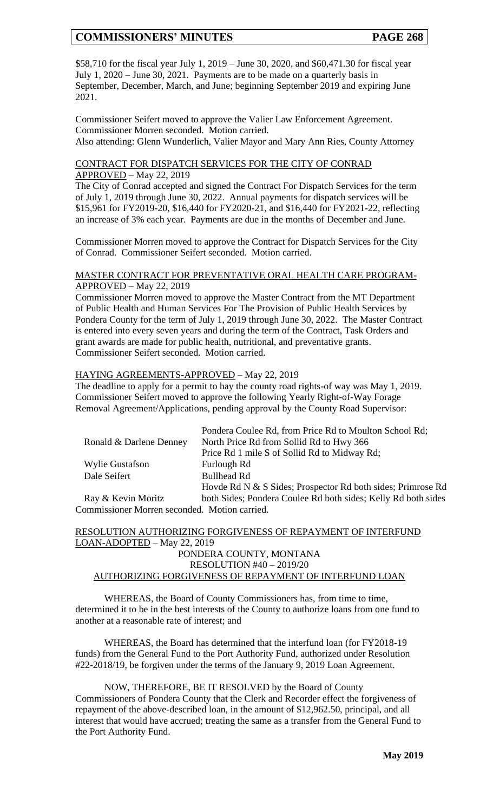\$58,710 for the fiscal year July 1, 2019 – June 30, 2020, and \$60,471.30 for fiscal year July 1, 2020 – June 30, 2021. Payments are to be made on a quarterly basis in September, December, March, and June; beginning September 2019 and expiring June 2021.

Commissioner Seifert moved to approve the Valier Law Enforcement Agreement. Commissioner Morren seconded. Motion carried. Also attending: Glenn Wunderlich, Valier Mayor and Mary Ann Ries, County Attorney

CONTRACT FOR DISPATCH SERVICES FOR THE CITY OF CONRAD APPROVED – May 22, 2019

The City of Conrad accepted and signed the Contract For Dispatch Services for the term of July 1, 2019 through June 30, 2022. Annual payments for dispatch services will be \$15,961 for FY2019-20, \$16,440 for FY2020-21, and \$16,440 for FY2021-22, reflecting an increase of 3% each year. Payments are due in the months of December and June.

Commissioner Morren moved to approve the Contract for Dispatch Services for the City of Conrad. Commissioner Seifert seconded. Motion carried.

### MASTER CONTRACT FOR PREVENTATIVE ORAL HEALTH CARE PROGRAM-APPROVED – May 22, 2019

Commissioner Morren moved to approve the Master Contract from the MT Department of Public Health and Human Services For The Provision of Public Health Services by Pondera County for the term of July 1, 2019 through June 30, 2022. The Master Contract is entered into every seven years and during the term of the Contract, Task Orders and grant awards are made for public health, nutritional, and preventative grants. Commissioner Seifert seconded. Motion carried.

## HAYING AGREEMENTS-APPROVED – May 22, 2019

The deadline to apply for a permit to hay the county road rights-of way was May 1, 2019. Commissioner Seifert moved to approve the following Yearly Right-of-Way Forage Removal Agreement/Applications, pending approval by the County Road Supervisor:

|                                             | Pondera Coulee Rd, from Price Rd to Moulton School Rd;        |  |  |  |
|---------------------------------------------|---------------------------------------------------------------|--|--|--|
| Ronald & Darlene Denney                     | North Price Rd from Sollid Rd to Hwy 366                      |  |  |  |
|                                             | Price Rd 1 mile S of Sollid Rd to Midway Rd;                  |  |  |  |
| <b>Wylie Gustafson</b>                      | Furlough Rd                                                   |  |  |  |
| Dale Seifert                                | <b>Bullhead Rd</b>                                            |  |  |  |
|                                             | Hovde Rd N & S Sides; Prospector Rd both sides; Primrose Rd   |  |  |  |
| Ray & Kevin Moritz                          | both Sides; Pondera Coulee Rd both sides; Kelly Rd both sides |  |  |  |
| Lemmission on Memore accepted Metion comind |                                                               |  |  |  |

Commissioner Morren seconded. Motion carried.

## RESOLUTION AUTHORIZING FORGIVENESS OF REPAYMENT OF INTERFUND LOAN-ADOPTED – May 22, 2019 PONDERA COUNTY, MONTANA RESOLUTION #40 – 2019/20

# AUTHORIZING FORGIVENESS OF REPAYMENT OF INTERFUND LOAN

WHEREAS, the Board of County Commissioners has, from time to time, determined it to be in the best interests of the County to authorize loans from one fund to another at a reasonable rate of interest; and

WHEREAS, the Board has determined that the interfund loan (for FY2018-19 funds) from the General Fund to the Port Authority Fund, authorized under Resolution #22-2018/19, be forgiven under the terms of the January 9, 2019 Loan Agreement.

NOW, THEREFORE, BE IT RESOLVED by the Board of County Commissioners of Pondera County that the Clerk and Recorder effect the forgiveness of repayment of the above-described loan, in the amount of \$12,962.50, principal, and all interest that would have accrued; treating the same as a transfer from the General Fund to the Port Authority Fund.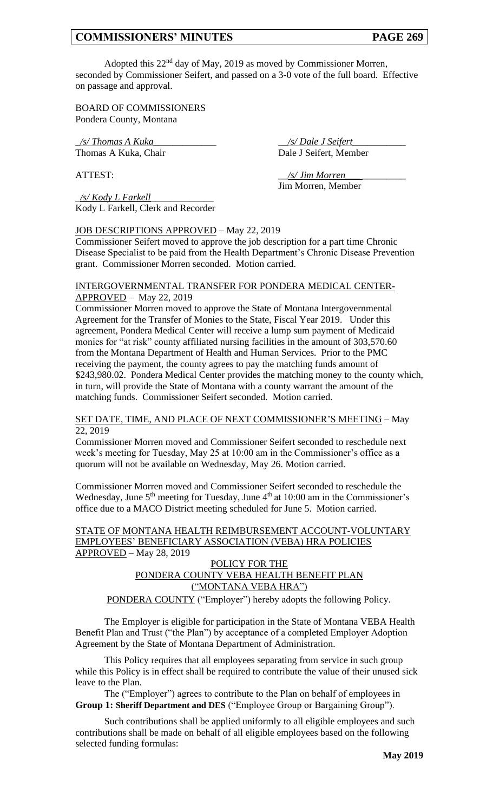Adopted this 22nd day of May, 2019 as moved by Commissioner Morren, seconded by Commissioner Seifert, and passed on a 3-0 vote of the full board. Effective on passage and approval.

BOARD OF COMMISSIONERS Pondera County, Montana

\_*/s/ Thomas A Kuka*\_\_\_\_\_\_\_\_\_\_\_\_\_ \_\_*/s/ Dale J Seifert*\_\_\_\_\_\_\_\_\_\_\_ Thomas A Kuka, Chair Dale J Seifert, Member

\_*/s/ Kody L Farkell*\_\_\_\_\_\_\_\_\_\_\_\_\_ Kody L Farkell, Clerk and Recorder

ATTEST:  $\frac{1}{s}$  /s/ *Jim Morren* Jim Morren, Member

# JOB DESCRIPTIONS APPROVED – May 22, 2019

Commissioner Seifert moved to approve the job description for a part time Chronic Disease Specialist to be paid from the Health Department's Chronic Disease Prevention grant. Commissioner Morren seconded. Motion carried.

### INTERGOVERNMENTAL TRANSFER FOR PONDERA MEDICAL CENTER-APPROVED – May 22, 2019

Commissioner Morren moved to approve the State of Montana Intergovernmental Agreement for the Transfer of Monies to the State, Fiscal Year 2019. Under this agreement, Pondera Medical Center will receive a lump sum payment of Medicaid monies for "at risk" county affiliated nursing facilities in the amount of 303,570.60 from the Montana Department of Health and Human Services. Prior to the PMC receiving the payment, the county agrees to pay the matching funds amount of \$243,980.02. Pondera Medical Center provides the matching money to the county which, in turn, will provide the State of Montana with a county warrant the amount of the matching funds. Commissioner Seifert seconded. Motion carried.

#### SET DATE, TIME, AND PLACE OF NEXT COMMISSIONER'S MEETING – May 22, 2019

Commissioner Morren moved and Commissioner Seifert seconded to reschedule next week's meeting for Tuesday, May 25 at 10:00 am in the Commissioner's office as a quorum will not be available on Wednesday, May 26. Motion carried.

Commissioner Morren moved and Commissioner Seifert seconded to reschedule the Wednesday, June 5<sup>th</sup> meeting for Tuesday, June 4<sup>th</sup> at 10:00 am in the Commissioner's office due to a MACO District meeting scheduled for June 5. Motion carried.

STATE OF MONTANA HEALTH REIMBURSEMENT ACCOUNT-VOLUNTARY EMPLOYEES' BENEFICIARY ASSOCIATION (VEBA) HRA POLICIES APPROVED – May 28, 2019

# POLICY FOR THE PONDERA COUNTY VEBA HEALTH BENEFIT PLAN ("MONTANA VEBA HRA")

PONDERA COUNTY ("Employer") hereby adopts the following Policy.

The Employer is eligible for participation in the State of Montana VEBA Health Benefit Plan and Trust ("the Plan") by acceptance of a completed Employer Adoption Agreement by the State of Montana Department of Administration.

This Policy requires that all employees separating from service in such group while this Policy is in effect shall be required to contribute the value of their unused sick leave to the Plan.

The ("Employer") agrees to contribute to the Plan on behalf of employees in **Group 1: Sheriff Department and DES** ("Employee Group or Bargaining Group").

Such contributions shall be applied uniformly to all eligible employees and such contributions shall be made on behalf of all eligible employees based on the following selected funding formulas: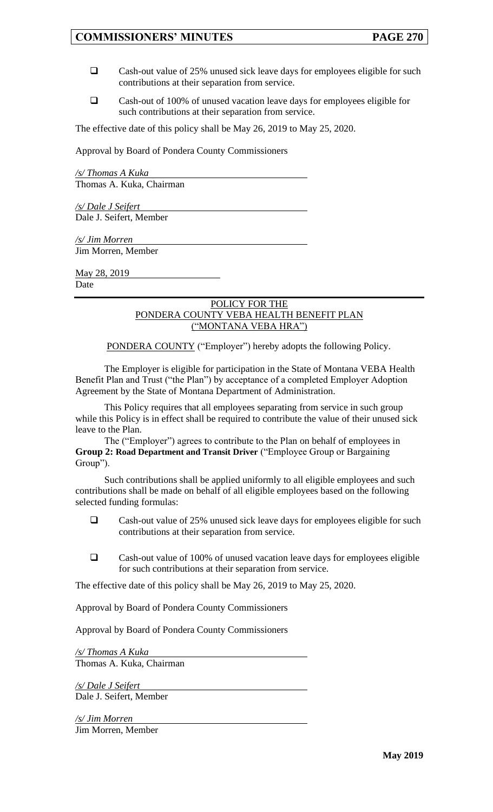- ❑ Cash-out value of 25% unused sick leave days for employees eligible for such contributions at their separation from service.
- ❑ Cash-out of 100% of unused vacation leave days for employees eligible for such contributions at their separation from service.

The effective date of this policy shall be May 26, 2019 to May 25, 2020.

Approval by Board of Pondera County Commissioners

*/s/ Thomas A Kuka* Thomas A. Kuka, Chairman

*/s/ Dale J Seifert*  Dale J. Seifert, Member

*/s/ Jim Morren*  Jim Morren, Member

May 28, 2019 Date

## POLICY FOR THE PONDERA COUNTY VEBA HEALTH BENEFIT PLAN ("MONTANA VEBA HRA")

PONDERA COUNTY ("Employer") hereby adopts the following Policy.

The Employer is eligible for participation in the State of Montana VEBA Health Benefit Plan and Trust ("the Plan") by acceptance of a completed Employer Adoption Agreement by the State of Montana Department of Administration.

This Policy requires that all employees separating from service in such group while this Policy is in effect shall be required to contribute the value of their unused sick leave to the Plan.

The ("Employer") agrees to contribute to the Plan on behalf of employees in **Group 2: Road Department and Transit Driver** ("Employee Group or Bargaining Group").

Such contributions shall be applied uniformly to all eligible employees and such contributions shall be made on behalf of all eligible employees based on the following selected funding formulas:

- ❑ Cash-out value of 25% unused sick leave days for employees eligible for such contributions at their separation from service.
- ❑ Cash-out value of 100% of unused vacation leave days for employees eligible for such contributions at their separation from service.

The effective date of this policy shall be May 26, 2019 to May 25, 2020.

Approval by Board of Pondera County Commissioners

Approval by Board of Pondera County Commissioners

*/s/ Thomas A Kuka* Thomas A. Kuka, Chairman

*/s/ Dale J Seifert*  Dale J. Seifert, Member

*/s/ Jim Morren*  Jim Morren, Member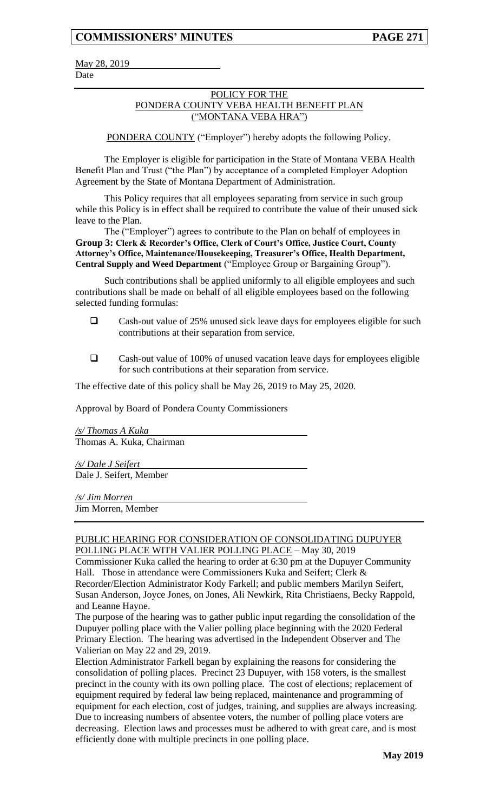May 28, 2019 Date

## POLICY FOR THE PONDERA COUNTY VEBA HEALTH BENEFIT PLAN ("MONTANA VEBA HRA")

PONDERA COUNTY ("Employer") hereby adopts the following Policy.

The Employer is eligible for participation in the State of Montana VEBA Health Benefit Plan and Trust ("the Plan") by acceptance of a completed Employer Adoption Agreement by the State of Montana Department of Administration.

This Policy requires that all employees separating from service in such group while this Policy is in effect shall be required to contribute the value of their unused sick leave to the Plan.

The ("Employer") agrees to contribute to the Plan on behalf of employees in **Group 3: Clerk & Recorder's Office, Clerk of Court's Office, Justice Court, County Attorney's Office, Maintenance/Housekeeping, Treasurer's Office, Health Department, Central Supply and Weed Department** ("Employee Group or Bargaining Group").

Such contributions shall be applied uniformly to all eligible employees and such contributions shall be made on behalf of all eligible employees based on the following selected funding formulas:

- ❑ Cash-out value of 25% unused sick leave days for employees eligible for such contributions at their separation from service.
- ❑ Cash-out value of 100% of unused vacation leave days for employees eligible for such contributions at their separation from service.

The effective date of this policy shall be May 26, 2019 to May 25, 2020.

Approval by Board of Pondera County Commissioners

*/s/ Thomas A Kuka* Thomas A. Kuka, Chairman

*/s/ Dale J Seifert*  Dale J. Seifert, Member

*/s/ Jim Morren* 

Jim Morren, Member

## PUBLIC HEARING FOR CONSIDERATION OF CONSOLIDATING DUPUYER POLLING PLACE WITH VALIER POLLING PLACE – May 30, 2019

Commissioner Kuka called the hearing to order at 6:30 pm at the Dupuyer Community Hall. Those in attendance were Commissioners Kuka and Seifert; Clerk & Recorder/Election Administrator Kody Farkell; and public members Marilyn Seifert, Susan Anderson, Joyce Jones, on Jones, Ali Newkirk, Rita Christiaens, Becky Rappold, and Leanne Hayne.

The purpose of the hearing was to gather public input regarding the consolidation of the Dupuyer polling place with the Valier polling place beginning with the 2020 Federal Primary Election. The hearing was advertised in the Independent Observer and The Valierian on May 22 and 29, 2019.

Election Administrator Farkell began by explaining the reasons for considering the consolidation of polling places. Precinct 23 Dupuyer, with 158 voters, is the smallest precinct in the county with its own polling place. The cost of elections; replacement of equipment required by federal law being replaced, maintenance and programming of equipment for each election, cost of judges, training, and supplies are always increasing. Due to increasing numbers of absentee voters, the number of polling place voters are decreasing. Election laws and processes must be adhered to with great care, and is most efficiently done with multiple precincts in one polling place.